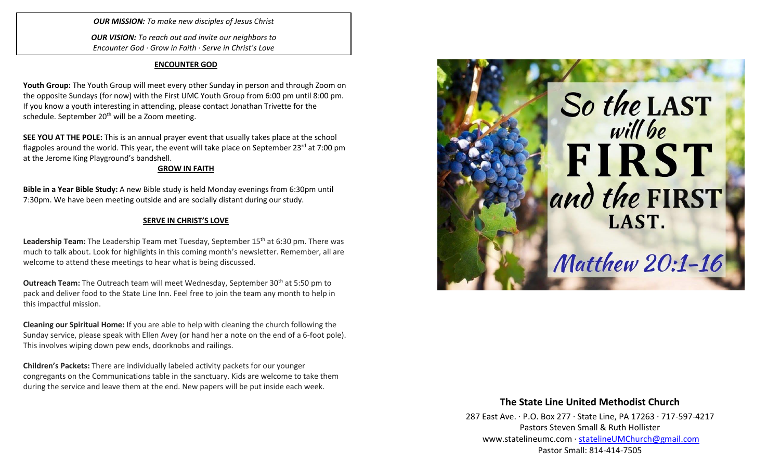*OUR MISSION: To make new disciples of Jesus Christ*

*OUR VISION: To reach out and invite our neighbors to Encounter God · Grow in Faith · Serve in Christ's Love*

#### **ENCOUNTER GOD**

**Youth Group:** The Youth Group will meet every other Sunday in person and through Zoom on the opposite Sundays (for now) with the First UMC Youth Group from 6:00 pm until 8:00 pm. If you know a youth interesting in attending, please contact Jonathan Trivette for the schedule. September 20<sup>th</sup> will be a Zoom meeting.

**SEE YOU AT THE POLE:** This is an annual prayer event that usually takes place at the school flagpoles around the world. This year, the event will take place on September 23 $^{\text{rd}}$  at 7:00 pm at the Jerome King Playground's bandshell.

## **GROW IN FAITH**

**Bible in a Year Bible Study:** A new Bible study is held Monday evenings from 6:30pm until 7:30pm. We have been meeting outside and are socially distant during our study.

# **SERVE IN CHRIST'S LOVE**

Leadership Team: The Leadership Team met Tuesday, September 15<sup>th</sup> at 6:30 pm. There was much to talk about. Look for highlights in this coming month's newsletter. Remember, all are welcome to attend these meetings to hear what is being discussed.

**Outreach Team:** The Outreach team will meet Wednesday, September 30<sup>th</sup> at 5:50 pm to pack and deliver food to the State Line Inn. Feel free to join the team any month to help in this impactful mission.

**Cleaning our Spiritual Home:** If you are able to help with cleaning the church following the Sunday service, please speak with Ellen Avey (or hand her a note on the end of a 6-foot pole). This involves wiping down pew ends, doorknobs and railings.

**Children's Packets:** There are individually labeled activity packets for our younger congregants on the Communications table in the sanctuary. Kids are welcome to take them during the service and leave them at the end. New papers will be put inside each week.



# **The State Line United Methodist Church**

287 East Ave. · P.O. Box 277 · State Line, PA 17263 · 717-597-4217 Pastors Steven Small & Ruth Hollister [www.statelineumc.com](http://www.statelineumc.com/) · [statelineUMChurch@gmail.com](mailto:statelineUMChurch@gmail.com) Pastor Small: 814-414-7505